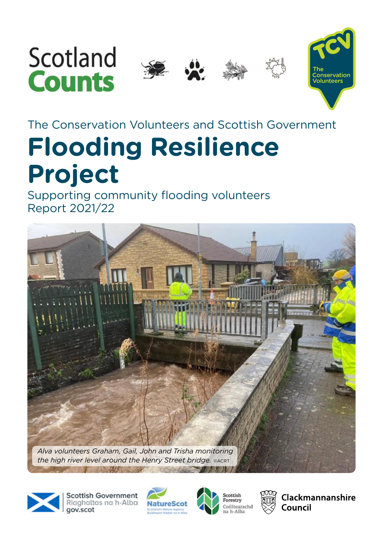# Scotland **Counts**







# The Conservation Volunteers and Scottish Government **Flooding Resilience Project**

Supporting community flooding volunteers Report 2021/22



**Scottish Government** Riaghaltas na h-Alba gov.scot







Clackmannanshire Council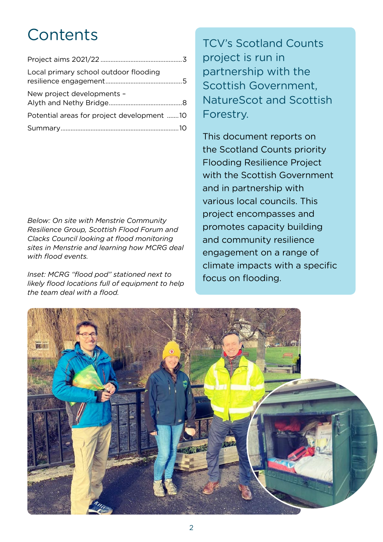## **Contents**

| Local primary school outdoor flooding      |  |
|--------------------------------------------|--|
| New project developments -                 |  |
| Potential areas for project development 10 |  |
|                                            |  |

*Below: On site with Menstrie Community Resilience Group, Scottish Flood Forum and Clacks Council looking at flood monitoring sites in Menstrie and learning how MCRG deal with flood events.* 

*Inset: MCRG "flood pod" stationed next to likely flood locations full of equipment to help the team deal with a flood.*

TCV's Scotland Counts project is run in partnership with the Scottish Government, NatureScot and Scottish Forestry.

This document reports on the Scotland Counts priority Flooding Resilience Project with the Scottish Government and in partnership with various local councils. This project encompasses and promotes capacity building and community resilience engagement on a range of climate impacts with a specific focus on flooding.

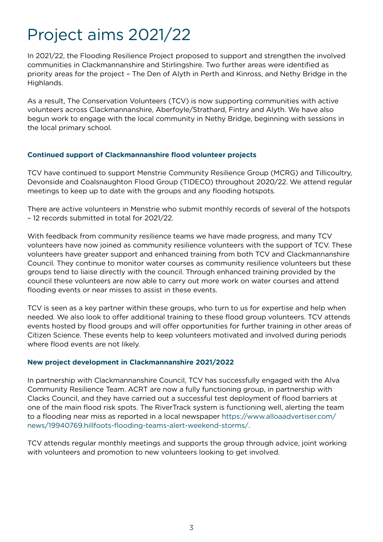## <span id="page-2-0"></span>Project aims 2021/22

In 2021/22, the Flooding Resilience Project proposed to support and strengthen the involved communities in Clackmannanshire and Stirlingshire. Two further areas were identified as priority areas for the project – The Den of Alyth in Perth and Kinross, and Nethy Bridge in the Highlands.

As a result, The Conservation Volunteers (TCV) is now supporting communities with active volunteers across Clackmannanshire, Aberfoyle/Strathard, Fintry and Alyth. We have also begun work to engage with the local community in Nethy Bridge, beginning with sessions in the local primary school.

#### **Continued support of Clackmannanshire flood volunteer projects**

TCV have continued to support Menstrie Community Resilience Group (MCRG) and Tillicoultry, Devonside and Coalsnaughton Flood Group (TIDECO) throughout 2020/22. We attend regular meetings to keep up to date with the groups and any flooding hotspots.

There are active volunteers in Menstrie who submit monthly records of several of the hotspots – 12 records submitted in total for 2021/22.

With feedback from community resilience teams we have made progress, and many TCV volunteers have now joined as community resilience volunteers with the support of TCV. These volunteers have greater support and enhanced training from both TCV and Clackmannanshire Council. They continue to monitor water courses as community resilience volunteers but these groups tend to liaise directly with the council. Through enhanced training provided by the council these volunteers are now able to carry out more work on water courses and attend flooding events or near misses to assist in these events.

TCV is seen as a key partner within these groups, who turn to us for expertise and help when needed. We also look to offer additional training to these flood group volunteers. TCV attends events hosted by flood groups and will offer opportunities for further training in other areas of Citizen Science. These events help to keep volunteers motivated and involved during periods where flood events are not likely.

#### **New project development in Clackmannanshire 2021/2022**

In partnership with Clackmannanshire Council, TCV has successfully engaged with the Alva Community Resilience Team. ACRT are now a fully functioning group, in partnership with Clacks Council, and they have carried out a successful test deployment of flood barriers at one of the main flood risk spots. The RiverTrack system is functioning well, alerting the team to a flooding near miss as reported in a local newspaper [https://www.alloaadvertiser.com/](https://www.alloaadvertiser.com/news/19940769.hillfoots-flooding-teams-alert-weekend-storms/) [news/19940769.hillfoots-flooding-teams-alert-weekend-storms/](https://www.alloaadvertiser.com/news/19940769.hillfoots-flooding-teams-alert-weekend-storms/).

TCV attends regular monthly meetings and supports the group through advice, joint working with volunteers and promotion to new volunteers looking to get involved.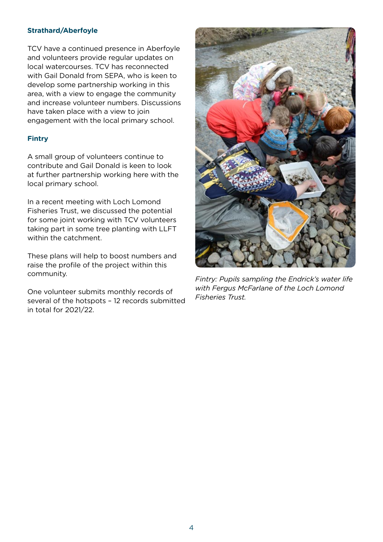#### **Strathard/Aberfoyle**

TCV have a continued presence in Aberfoyle and volunteers provide regular updates on local watercourses. TCV has reconnected with Gail Donald from SEPA, who is keen to develop some partnership working in this area, with a view to engage the community and increase volunteer numbers. Discussions have taken place with a view to join engagement with the local primary school.

#### **Fintry**

A small group of volunteers continue to contribute and Gail Donald is keen to look at further partnership working here with the local primary school.

In a recent meeting with Loch Lomond Fisheries Trust, we discussed the potential for some joint working with TCV volunteers taking part in some tree planting with LLFT within the catchment.

These plans will help to boost numbers and raise the profile of the project within this community.

One volunteer submits monthly records of several of the hotspots – 12 records submitted in total for 2021/22.



*Fintry: Pupils sampling the Endrick's water life with Fergus McFarlane of the Loch Lomond Fisheries Trust.*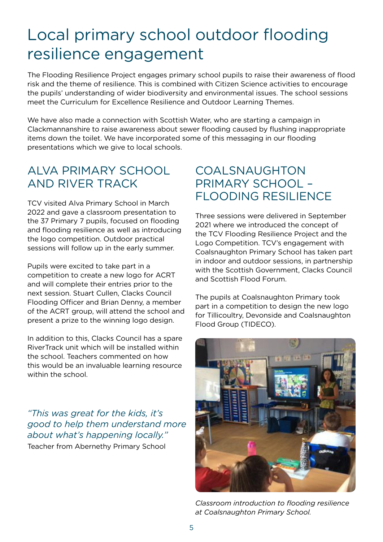## <span id="page-4-0"></span>Local primary school outdoor flooding resilience engagement

The Flooding Resilience Project engages primary school pupils to raise their awareness of flood risk and the theme of resilience. This is combined with Citizen Science activities to encourage the pupils' understanding of wider biodiversity and environmental issues. The school sessions meet the Curriculum for Excellence Resilience and Outdoor Learning Themes.

We have also made a connection with Scottish Water, who are starting a campaign in Clackmannanshire to raise awareness about sewer flooding caused by flushing inappropriate items down the toilet. We have incorporated some of this messaging in our flooding presentations which we give to local schools.

### Alva Primary School and River Track

TCV visited Alva Primary School in March 2022 and gave a classroom presentation to the 37 Primary 7 pupils, focused on flooding and flooding resilience as well as introducing the logo competition. Outdoor practical sessions will follow up in the early summer.

Pupils were excited to take part in a competition to create a new logo for ACRT and will complete their entries prior to the next session. Stuart Cullen, Clacks Council Flooding Officer and Brian Denny, a member of the ACRT group, will attend the school and present a prize to the winning logo design.

In addition to this, Clacks Council has a spare RiverTrack unit which will be installed within the school. Teachers commented on how this would be an invaluable learning resource within the school.

*"This was great for the kids, it's good to help them understand more about what's happening locally."*  Teacher from Abernethy Primary School

### **COALSNAUGHTON** Primary School – FLOODING RESILIENCE

Three sessions were delivered in September 2021 where we introduced the concept of the TCV Flooding Resilience Project and the Logo Competition. TCV's engagement with Coalsnaughton Primary School has taken part in indoor and outdoor sessions, in partnership with the Scottish Government, Clacks Council and Scottish Flood Forum.

The pupils at Coalsnaughton Primary took part in a competition to design the new logo for Tillicoultry, Devonside and Coalsnaughton Flood Group (TIDECO).



*Classroom introduction to flooding resilience at Coalsnaughton Primary School.*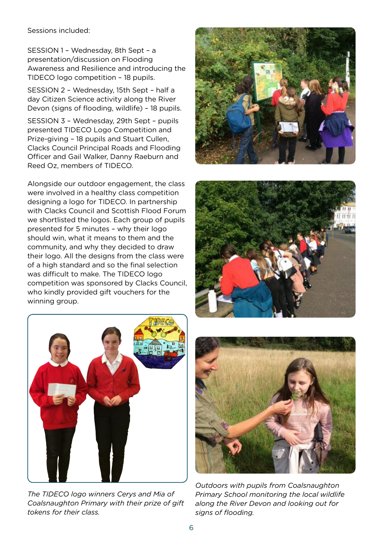Sessions included:

SESSION 1 - Wednesday, 8th Sept - a presentation/discussion on Flooding Awareness and Resilience and introducing the TIDECO logo competition – 18 pupils.

Session 2 – Wednesday, 15th Sept – half a day Citizen Science activity along the River Devon (signs of flooding, wildlife) – 18 pupils.

Session 3 – Wednesday, 29th Sept – pupils presented TIDECO Logo Competition and Prize-giving – 18 pupils and Stuart Cullen, Clacks Council Principal Roads and Flooding Officer and Gail Walker, Danny Raeburn and Reed Oz, members of TIDECO.

Alongside our outdoor engagement, the class were involved in a healthy class competition designing a logo for TIDECO. In partnership with Clacks Council and Scottish Flood Forum we shortlisted the logos. Each group of pupils presented for 5 minutes – why their logo should win, what it means to them and the community, and why they decided to draw their logo. All the designs from the class were of a high standard and so the final selection was difficult to make. The TIDECO logo competition was sponsored by Clacks Council, who kindly provided gift vouchers for the winning group.







*The TIDECO logo winners Cerys and Mia of Coalsnaughton Primary with their prize of gift tokens for their class.*



*Outdoors with pupils from Coalsnaughton Primary School monitoring the local wildlife along the River Devon and looking out for signs of flooding.*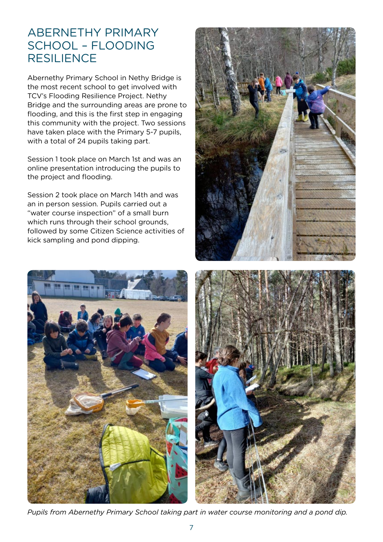#### Abernethy Primary School – Flooding **RESILIENCE**

Abernethy Primary School in Nethy Bridge is the most recent school to get involved with TCV's Flooding Resilience Project. Nethy Bridge and the surrounding areas are prone to flooding, and this is the first step in engaging this community with the project. Two sessions have taken place with the Primary 5-7 pupils, with a total of 24 pupils taking part.

Session 1 took place on March 1st and was an online presentation introducing the pupils to the project and flooding.

Session 2 took place on March 14th and was an in person session. Pupils carried out a "water course inspection" of a small burn which runs through their school grounds, followed by some Citizen Science activities of kick sampling and pond dipping.







*Pupils from Abernethy Primary School taking part in water course monitoring and a pond dip.*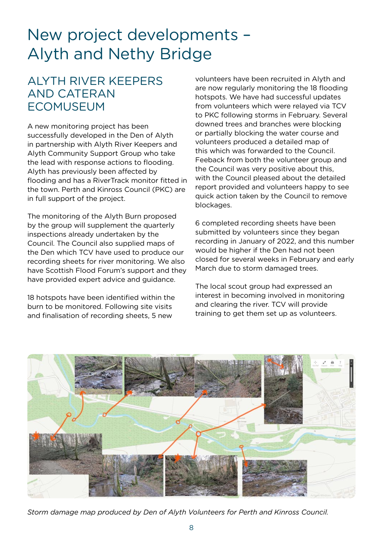## <span id="page-7-0"></span>New project developments – Alyth and Nethy Bridge

### Alyth River Keepers and Cateran **FCOMUSEUM**

A new monitoring project has been successfully developed in the Den of Alyth in partnership with Alyth River Keepers and Alyth Community Support Group who take the lead with response actions to flooding. Alyth has previously been affected by flooding and has a RiverTrack monitor fitted in the town. Perth and Kinross Council (PKC) are in full support of the project.

The monitoring of the Alyth Burn proposed by the group will supplement the quarterly inspections already undertaken by the Council. The Council also supplied maps of the Den which TCV have used to produce our recording sheets for river monitoring. We also have Scottish Flood Forum's support and they have provided expert advice and guidance.

18 hotspots have been identified within the burn to be monitored. Following site visits and finalisation of recording sheets, 5 new

volunteers have been recruited in Alyth and are now regularly monitoring the 18 flooding hotspots. We have had successful updates from volunteers which were relayed via TCV to PKC following storms in February. Several downed trees and branches were blocking or partially blocking the water course and volunteers produced a detailed map of this which was forwarded to the Council. Feeback from both the volunteer group and the Council was very positive about this, with the Council pleased about the detailed report provided and volunteers happy to see quick action taken by the Council to remove blockages.

6 completed recording sheets have been submitted by volunteers since they began recording in January of 2022, and this number would be higher if the Den had not been closed for several weeks in February and early March due to storm damaged trees.

The local scout group had expressed an interest in becoming involved in monitoring and clearing the river. TCV will provide training to get them set up as volunteers.



*Storm damage map produced by Den of Alyth Volunteers for Perth and Kinross Council.*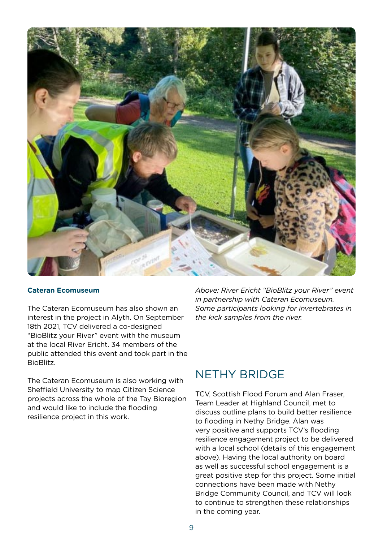

#### **Cateran Ecomuseum**

The Cateran Ecomuseum has also shown an interest in the project in Alyth. On September 18th 2021, TCV delivered a co-designed "BioBlitz your River" event with the museum at the local River Ericht. 34 members of the public attended this event and took part in the BioBlitz.

The Cateran Ecomuseum is also working with Sheffield University to map Citizen Science projects across the whole of the Tay Bioregion and would like to include the flooding resilience project in this work.

*Above: River Ericht "BioBlitz your River" event in partnership with Cateran Ecomuseum. Some participants looking for invertebrates in the kick samples from the river.*

#### Nethy Bridge

TCV, Scottish Flood Forum and Alan Fraser, Team Leader at Highland Council, met to discuss outline plans to build better resilience to flooding in Nethy Bridge. Alan was very positive and supports TCV's flooding resilience engagement project to be delivered with a local school (details of this engagement above). Having the local authority on board as well as successful school engagement is a great positive step for this project. Some initial connections have been made with Nethy Bridge Community Council, and TCV will look to continue to strengthen these relationships in the coming year.